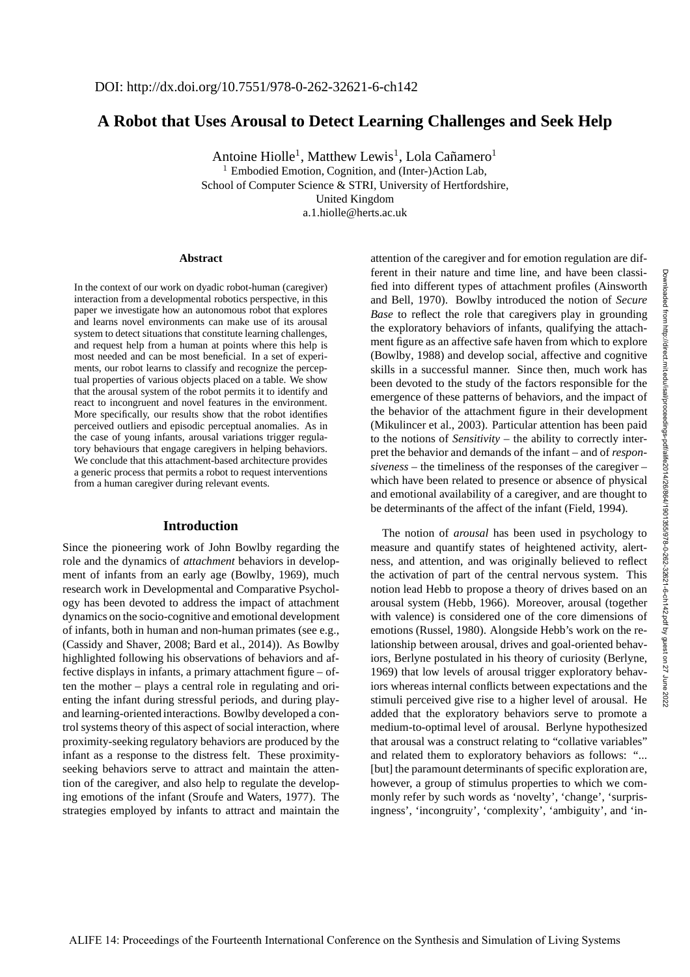Downloaded from http://direct.mit.edu/isal/proceedings-pdf/alife2014/26/864/1901355/978-0-262-32621-6-ch142.pdf by guest on 27 June 2022

Downloaded from http://direct.mit.edu/isal/proceedings-pdf/alife2014/26/864/1901355/978-0-262-32621-6-ch142.pdf by guest on 27 June

# **A Robot that Uses Arousal to Detect Learning Challenges and Seek Help**

Antoine Hiolle<sup>1</sup>, Matthew Lewis<sup>1</sup>, Lola Cañamero<sup>1</sup> <sup>1</sup> Embodied Emotion, Cognition, and (Inter-)Action Lab, School of Computer Science & STRI, University of Hertfordshire, United Kingdom a.1.hiolle@herts.ac.uk

#### **Abstract**

In the context of our work on dyadic robot-human (caregiver) interaction from a developmental robotics perspective, in this paper we investigate how an autonomous robot that explores and learns novel environments can make use of its arousal system to detect situations that constitute learning challenges, and request help from a human at points where this help is most needed and can be most beneficial. In a set of experiments, our robot learns to classify and recognize the perceptual properties of various objects placed on a table. We show that the arousal system of the robot permits it to identify and react to incongruent and novel features in the environment. More specifically, our results show that the robot identifies perceived outliers and episodic perceptual anomalies. As in the case of young infants, arousal variations trigger regulatory behaviours that engage caregivers in helping behaviors. We conclude that this attachment-based architecture provides a generic process that permits a robot to request interventions from a human caregiver during relevant events.

### **Introduction**

Since the pioneering work of John Bowlby regarding the role and the dynamics of *attachment* behaviors in development of infants from an early age (Bowlby, 1969), much research work in Developmental and Comparative Psychology has been devoted to address the impact of attachment dynamics on the socio-cognitive and emotional development of infants, both in human and non-human primates (see e.g., (Cassidy and Shaver, 2008; Bard et al., 2014)). As Bowlby highlighted following his observations of behaviors and affective displays in infants, a primary attachment figure – often the mother – plays a central role in regulating and orienting the infant during stressful periods, and during playand learning-oriented interactions. Bowlby developed a control systems theory of this aspect of social interaction, where proximity-seeking regulatory behaviors are produced by the infant as a response to the distress felt. These proximityseeking behaviors serve to attract and maintain the attention of the caregiver, and also help to regulate the developing emotions of the infant (Sroufe and Waters, 1977). The strategies employed by infants to attract and maintain the attention of the caregiver and for emotion regulation are different in their nature and time line, and have been classified into different types of attachment profiles (Ainsworth and Bell, 1970). Bowlby introduced the notion of *Secure Base* to reflect the role that caregivers play in grounding the exploratory behaviors of infants, qualifying the attachment figure as an affective safe haven from which to explore (Bowlby, 1988) and develop social, affective and cognitive skills in a successful manner. Since then, much work has been devoted to the study of the factors responsible for the emergence of these patterns of behaviors, and the impact of the behavior of the attachment figure in their development (Mikulincer et al., 2003). Particular attention has been paid to the notions of *Sensitivity* – the ability to correctly interpret the behavior and demands of the infant – and of *responsiveness* – the timeliness of the responses of the caregiver – which have been related to presence or absence of physical and emotional availability of a caregiver, and are thought to be determinants of the affect of the infant (Field, 1994).

The notion of *arousal* has been used in psychology to measure and quantify states of heightened activity, alertness, and attention, and was originally believed to reflect the activation of part of the central nervous system. This notion lead Hebb to propose a theory of drives based on an arousal system (Hebb, 1966). Moreover, arousal (together with valence) is considered one of the core dimensions of emotions (Russel, 1980). Alongside Hebb's work on the relationship between arousal, drives and goal-oriented behaviors, Berlyne postulated in his theory of curiosity (Berlyne, 1969) that low levels of arousal trigger exploratory behaviors whereas internal conflicts between expectations and the stimuli perceived give rise to a higher level of arousal. He added that the exploratory behaviors serve to promote a medium-to-optimal level of arousal. Berlyne hypothesized that arousal was a construct relating to "collative variables" and related them to exploratory behaviors as follows: "... [but] the paramount determinants of specific exploration are, however, a group of stimulus properties to which we commonly refer by such words as 'novelty', 'change', 'surprisingness', 'incongruity', 'complexity', 'ambiguity', and 'in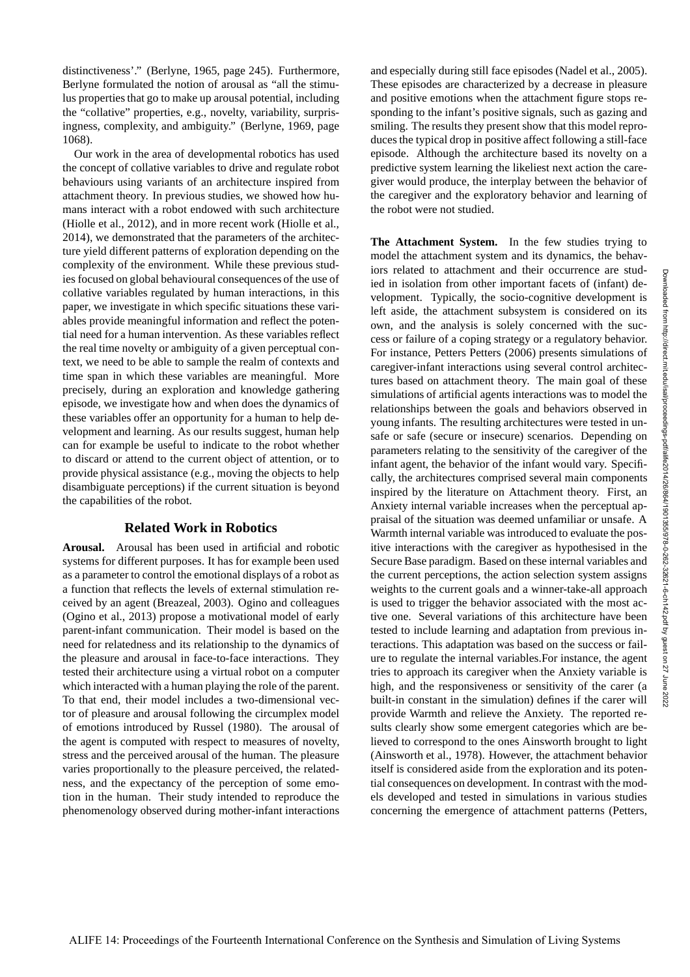distinctiveness'." (Berlyne, 1965, page 245). Furthermore, Berlyne formulated the notion of arousal as "all the stimulus properties that go to make up arousal potential, including the "collative" properties, e.g., novelty, variability, surprisingness, complexity, and ambiguity." (Berlyne, 1969, page 1068).

Our work in the area of developmental robotics has used the concept of collative variables to drive and regulate robot behaviours using variants of an architecture inspired from attachment theory. In previous studies, we showed how humans interact with a robot endowed with such architecture (Hiolle et al., 2012), and in more recent work (Hiolle et al., 2014), we demonstrated that the parameters of the architecture yield different patterns of exploration depending on the complexity of the environment. While these previous studies focused on global behavioural consequences of the use of collative variables regulated by human interactions, in this paper, we investigate in which specific situations these variables provide meaningful information and reflect the potential need for a human intervention. As these variables reflect the real time novelty or ambiguity of a given perceptual context, we need to be able to sample the realm of contexts and time span in which these variables are meaningful. More precisely, during an exploration and knowledge gathering episode, we investigate how and when does the dynamics of these variables offer an opportunity for a human to help development and learning. As our results suggest, human help can for example be useful to indicate to the robot whether to discard or attend to the current object of attention, or to provide physical assistance (e.g., moving the objects to help disambiguate perceptions) if the current situation is beyond the capabilities of the robot.

## **Related Work in Robotics**

**Arousal.** Arousal has been used in artificial and robotic systems for different purposes. It has for example been used as a parameter to control the emotional displays of a robot as a function that reflects the levels of external stimulation received by an agent (Breazeal, 2003). Ogino and colleagues (Ogino et al., 2013) propose a motivational model of early parent-infant communication. Their model is based on the need for relatedness and its relationship to the dynamics of the pleasure and arousal in face-to-face interactions. They tested their architecture using a virtual robot on a computer which interacted with a human playing the role of the parent. To that end, their model includes a two-dimensional vector of pleasure and arousal following the circumplex model of emotions introduced by Russel (1980). The arousal of the agent is computed with respect to measures of novelty, stress and the perceived arousal of the human. The pleasure varies proportionally to the pleasure perceived, the relatedness, and the expectancy of the perception of some emotion in the human. Their study intended to reproduce the phenomenology observed during mother-infant interactions and especially during still face episodes (Nadel et al., 2005). These episodes are characterized by a decrease in pleasure and positive emotions when the attachment figure stops responding to the infant's positive signals, such as gazing and smiling. The results they present show that this model reproduces the typical drop in positive affect following a still-face episode. Although the architecture based its novelty on a predictive system learning the likeliest next action the caregiver would produce, the interplay between the behavior of the caregiver and the exploratory behavior and learning of the robot were not studied.

**The Attachment System.** In the few studies trying to model the attachment system and its dynamics, the behaviors related to attachment and their occurrence are studied in isolation from other important facets of (infant) development. Typically, the socio-cognitive development is left aside, the attachment subsystem is considered on its own, and the analysis is solely concerned with the success or failure of a coping strategy or a regulatory behavior. For instance, Petters Petters (2006) presents simulations of caregiver-infant interactions using several control architectures based on attachment theory. The main goal of these simulations of artificial agents interactions was to model the relationships between the goals and behaviors observed in young infants. The resulting architectures were tested in unsafe or safe (secure or insecure) scenarios. Depending on parameters relating to the sensitivity of the caregiver of the infant agent, the behavior of the infant would vary. Specifically, the architectures comprised several main components inspired by the literature on Attachment theory. First, an Anxiety internal variable increases when the perceptual appraisal of the situation was deemed unfamiliar or unsafe. A Warmth internal variable was introduced to evaluate the positive interactions with the caregiver as hypothesised in the Secure Base paradigm. Based on these internal variables and the current perceptions, the action selection system assigns weights to the current goals and a winner-take-all approach is used to trigger the behavior associated with the most active one. Several variations of this architecture have been tested to include learning and adaptation from previous interactions. This adaptation was based on the success or failure to regulate the internal variables.For instance, the agent tries to approach its caregiver when the Anxiety variable is high, and the responsiveness or sensitivity of the carer (a built-in constant in the simulation) defines if the carer will provide Warmth and relieve the Anxiety. The reported results clearly show some emergent categories which are believed to correspond to the ones Ainsworth brought to light (Ainsworth et al., 1978). However, the attachment behavior itself is considered aside from the exploration and its potential consequences on development. In contrast with the models developed and tested in simulations in various studies concerning the emergence of attachment patterns (Petters,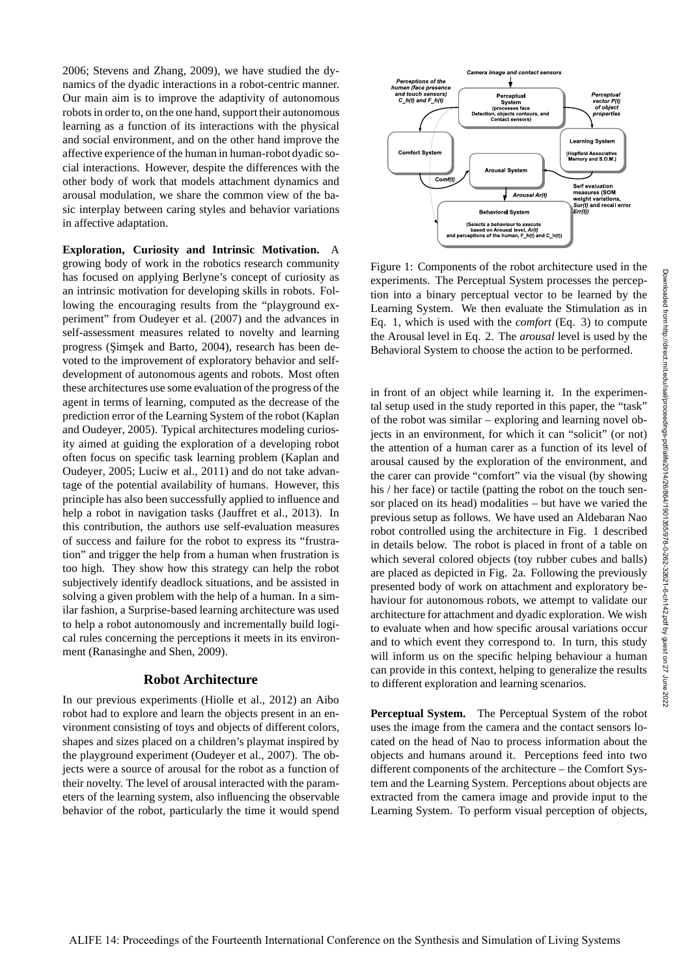2006; Stevens and Zhang, 2009), we have studied the dynamics of the dyadic interactions in a robot-centric manner. Our main aim is to improve the adaptivity of autonomous robots in order to, on the one hand, support their autonomous learning as a function of its interactions with the physical and social environment, and on the other hand improve the affective experience of the human in human-robot dyadic social interactions. However, despite the differences with the other body of work that models attachment dynamics and arousal modulation, we share the common view of the basic interplay between caring styles and behavior variations in affective adaptation.

**Exploration, Curiosity and Intrinsic Motivation.** A growing body of work in the robotics research community has focused on applying Berlyne's concept of curiosity as an intrinsic motivation for developing skills in robots. Following the encouraging results from the "playground experiment" from Oudeyer et al. (2007) and the advances in self-assessment measures related to novelty and learning progress (Şimşek and Barto, 2004), research has been devoted to the improvement of exploratory behavior and selfdevelopment of autonomous agents and robots. Most often these architectures use some evaluation of the progress of the agent in terms of learning, computed as the decrease of the prediction error of the Learning System of the robot (Kaplan and Oudeyer, 2005). Typical architectures modeling curiosity aimed at guiding the exploration of a developing robot often focus on specific task learning problem (Kaplan and Oudeyer, 2005; Luciw et al., 2011) and do not take advantage of the potential availability of humans. However, this principle has also been successfully applied to influence and help a robot in navigation tasks (Jauffret et al., 2013). In this contribution, the authors use self-evaluation measures of success and failure for the robot to express its "frustration" and trigger the help from a human when frustration is too high. They show how this strategy can help the robot subjectively identify deadlock situations, and be assisted in solving a given problem with the help of a human. In a similar fashion, a Surprise-based learning architecture was used to help a robot autonomously and incrementally build logical rules concerning the perceptions it meets in its environment (Ranasinghe and Shen, 2009).

### **Robot Architecture**

In our previous experiments (Hiolle et al., 2012) an Aibo robot had to explore and learn the objects present in an environment consisting of toys and objects of different colors, shapes and sizes placed on a children's playmat inspired by the playground experiment (Oudeyer et al., 2007). The objects were a source of arousal for the robot as a function of their novelty. The level of arousal interacted with the parameters of the learning system, also influencing the observable behavior of the robot, particularly the time it would spend



Figure 1: Components of the robot architecture used in the experiments. The Perceptual System processes the perception into a binary perceptual vector to be learned by the Learning System. We then evaluate the Stimulation as in Eq. 1, which is used with the *comfort* (Eq. 3) to compute the Arousal level in Eq. 2. The *arousal* level is used by the Behavioral System to choose the action to be performed.

in front of an object while learning it. In the experimental setup used in the study reported in this paper, the "task" of the robot was similar – exploring and learning novel objects in an environment, for which it can "solicit" (or not) the attention of a human carer as a function of its level of arousal caused by the exploration of the environment, and the carer can provide "comfort" via the visual (by showing his / her face) or tactile (patting the robot on the touch sensor placed on its head) modalities – but have we varied the previous setup as follows. We have used an Aldebaran Nao robot controlled using the architecture in Fig. 1 described in details below. The robot is placed in front of a table on which several colored objects (toy rubber cubes and balls) are placed as depicted in Fig. 2a. Following the previously presented body of work on attachment and exploratory behaviour for autonomous robots, we attempt to validate our architecture for attachment and dyadic exploration. We wish to evaluate when and how specific arousal variations occur and to which event they correspond to. In turn, this study will inform us on the specific helping behaviour a human can provide in this context, helping to generalize the results to different exploration and learning scenarios.

**Perceptual System.** The Perceptual System of the robot uses the image from the camera and the contact sensors located on the head of Nao to process information about the objects and humans around it. Perceptions feed into two different components of the architecture – the Comfort System and the Learning System. Perceptions about objects are extracted from the camera image and provide input to the Learning System. To perform visual perception of objects,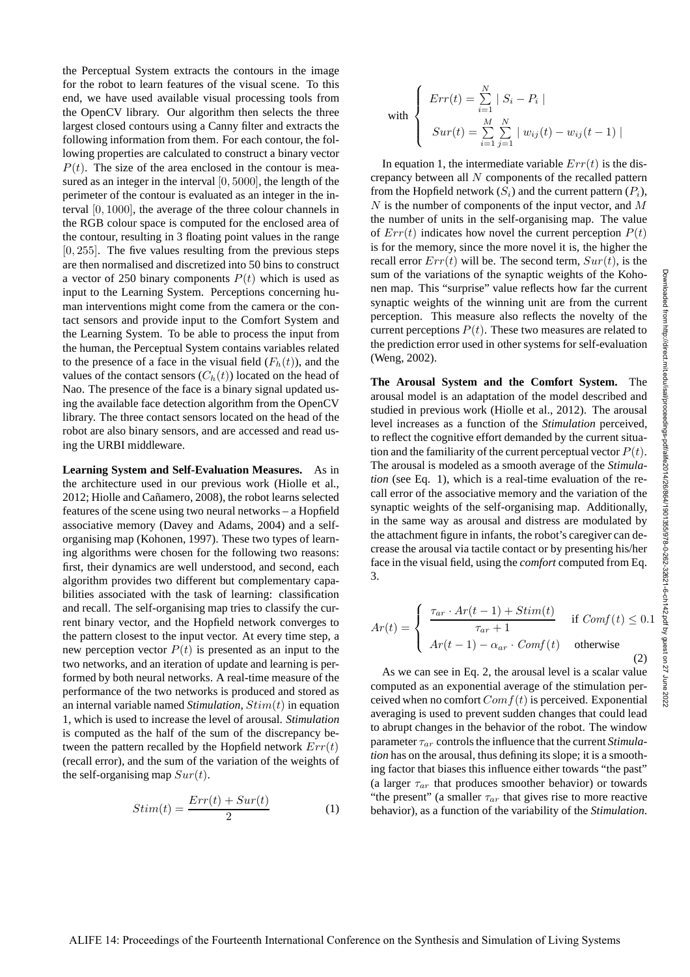the Perceptual System extracts the contours in the image for the robot to learn features of the visual scene. To this end, we have used available visual processing tools from the OpenCV library. Our algorithm then selects the three largest closed contours using a Canny filter and extracts the following information from them. For each contour, the following properties are calculated to construct a binary vector  $P(t)$ . The size of the area enclosed in the contour is measured as an integer in the interval [0, 5000], the length of the perimeter of the contour is evaluated as an integer in the interval [0, 1000], the average of the three colour channels in the RGB colour space is computed for the enclosed area of the contour, resulting in 3 floating point values in the range  $[0, 255]$ . The five values resulting from the previous steps are then normalised and discretized into 50 bins to construct a vector of 250 binary components  $P(t)$  which is used as input to the Learning System. Perceptions concerning human interventions might come from the camera or the contact sensors and provide input to the Comfort System and the Learning System. To be able to process the input from the human, the Perceptual System contains variables related to the presence of a face in the visual field  $(F_h(t))$ , and the values of the contact sensors  $(C_h(t))$  located on the head of Nao. The presence of the face is a binary signal updated using the available face detection algorithm from the OpenCV library. The three contact sensors located on the head of the robot are also binary sensors, and are accessed and read using the URBI middleware.

**Learning System and Self-Evaluation Measures.** As in the architecture used in our previous work (Hiolle et al., 2012; Hiolle and Cañamero, 2008), the robot learns selected features of the scene using two neural networks – a Hopfield associative memory (Davey and Adams, 2004) and a selforganising map (Kohonen, 1997). These two types of learning algorithms were chosen for the following two reasons: first, their dynamics are well understood, and second, each algorithm provides two different but complementary capabilities associated with the task of learning: classification and recall. The self-organising map tries to classify the current binary vector, and the Hopfield network converges to the pattern closest to the input vector. At every time step, a new perception vector  $P(t)$  is presented as an input to the two networks, and an iteration of update and learning is performed by both neural networks. A real-time measure of the performance of the two networks is produced and stored as an internal variable named *Stimulation*, Stim(t) in equation 1, which is used to increase the level of arousal. *Stimulation* is computed as the half of the sum of the discrepancy between the pattern recalled by the Hopfield network  $Err(t)$ (recall error), and the sum of the variation of the weights of the self-organising map  $Sur(t)$ .

$$
Stim(t) = \frac{Err(t) + Sur(t)}{2} \tag{1}
$$

with 
$$
\begin{cases}\nErr(t) = \sum_{i=1}^{N} |S_i - P_i| \\
Sur(t) = \sum_{i=1}^{M} \sum_{j=1}^{N} |w_{ij}(t) - w_{ij}(t-1)|\n\end{cases}
$$

In equation 1, the intermediate variable  $Err(t)$  is the discrepancy between all N components of the recalled pattern from the Hopfield network  $(S_i)$  and the current pattern  $(P_i)$ ,  $N$  is the number of components of the input vector, and  $M$ the number of units in the self-organising map. The value of  $Err(t)$  indicates how novel the current perception  $P(t)$ is for the memory, since the more novel it is, the higher the recall error  $Err(t)$  will be. The second term,  $Sur(t)$ , is the sum of the variations of the synaptic weights of the Kohonen map. This "surprise" value reflects how far the current synaptic weights of the winning unit are from the current perception. This measure also reflects the novelty of the current perceptions  $P(t)$ . These two measures are related to the prediction error used in other systems for self-evaluation (Weng, 2002).

**The Arousal System and the Comfort System.** The arousal model is an adaptation of the model described and studied in previous work (Hiolle et al., 2012). The arousal level increases as a function of the *Stimulation* perceived, to reflect the cognitive effort demanded by the current situation and the familiarity of the current perceptual vector  $P(t)$ . The arousal is modeled as a smooth average of the *Stimulation* (see Eq. 1), which is a real-time evaluation of the recall error of the associative memory and the variation of the synaptic weights of the self-organising map. Additionally, in the same way as arousal and distress are modulated by the attachment figure in infants, the robot's caregiver can decrease the arousal via tactile contact or by presenting his/her face in the visual field, using the *comfort* computed from Eq. 3.

$$
Ar(t) = \begin{cases} \frac{\tau_{ar} \cdot Ar(t-1) + Stim(t)}{\tau_{ar} + 1} & \text{if } Comf(t) \le 0.1\\ Ar(t-1) - \alpha_{ar} \cdot Comf(t) & \text{otherwise} \end{cases}
$$
 (2)

As we can see in Eq. 2, the arousal level is a scalar value computed as an exponential average of the stimulation perceived when no comfort  $Comf(t)$  is perceived. Exponential averaging is used to prevent sudden changes that could lead to abrupt changes in the behavior of the robot. The window parameter  $\tau_{ar}$  controls the influence that the current *Stimulation* has on the arousal, thus defining its slope; it is a smoothing factor that biases this influence either towards "the past" (a larger  $\tau_{ar}$  that produces smoother behavior) or towards "the present" (a smaller  $\tau_{ar}$  that gives rise to more reactive behavior), as a function of the variability of the *Stimulation*.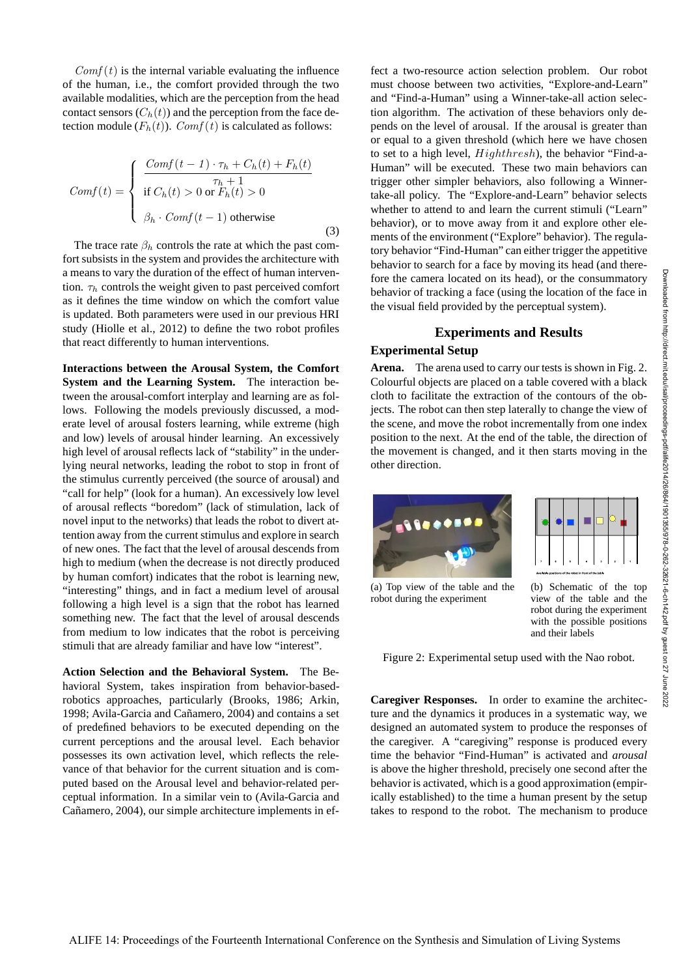$Comf(t)$  is the internal variable evaluating the influence of the human, i.e., the comfort provided through the two available modalities, which are the perception from the head contact sensors  $(C_h(t))$  and the perception from the face detection module  $(F_h(t))$ . Comf $(t)$  is calculated as follows:

$$
Comf(t) = \begin{cases} \frac{Comf(t-1) \cdot \tau_h + C_h(t) + F_h(t)}{\tau_h + 1} \\ \text{if } C_h(t) > 0 \text{ or } F_h(t) > 0 \\ \beta_h \cdot Comf(t-1) \text{ otherwise} \end{cases}
$$
(3)

The trace rate  $\beta_h$  controls the rate at which the past comfort subsists in the system and provides the architecture with a means to vary the duration of the effect of human intervention.  $\tau_h$  controls the weight given to past perceived comfort as it defines the time window on which the comfort value is updated. Both parameters were used in our previous HRI study (Hiolle et al., 2012) to define the two robot profiles that react differently to human interventions.

**Interactions between the Arousal System, the Comfort System and the Learning System.** The interaction between the arousal-comfort interplay and learning are as follows. Following the models previously discussed, a moderate level of arousal fosters learning, while extreme (high and low) levels of arousal hinder learning. An excessively high level of arousal reflects lack of "stability" in the underlying neural networks, leading the robot to stop in front of the stimulus currently perceived (the source of arousal) and "call for help" (look for a human). An excessively low level of arousal reflects "boredom" (lack of stimulation, lack of novel input to the networks) that leads the robot to divert attention away from the current stimulus and explore in search of new ones. The fact that the level of arousal descends from high to medium (when the decrease is not directly produced by human comfort) indicates that the robot is learning new, "interesting" things, and in fact a medium level of arousal following a high level is a sign that the robot has learned something new. The fact that the level of arousal descends from medium to low indicates that the robot is perceiving stimuli that are already familiar and have low "interest".

**Action Selection and the Behavioral System.** The Behavioral System, takes inspiration from behavior-basedrobotics approaches, particularly (Brooks, 1986; Arkin, 1998; Avila-Garcia and Cañamero, 2004) and contains a set of predefined behaviors to be executed depending on the current perceptions and the arousal level. Each behavior possesses its own activation level, which reflects the relevance of that behavior for the current situation and is computed based on the Arousal level and behavior-related perceptual information. In a similar vein to (Avila-Garcia and Cañamero, 2004), our simple architecture implements in effect a two-resource action selection problem. Our robot must choose between two activities, "Explore-and-Learn" and "Find-a-Human" using a Winner-take-all action selection algorithm. The activation of these behaviors only depends on the level of arousal. If the arousal is greater than or equal to a given threshold (which here we have chosen to set to a high level, Highthresh), the behavior "Find-a-Human" will be executed. These two main behaviors can trigger other simpler behaviors, also following a Winnertake-all policy. The "Explore-and-Learn" behavior selects whether to attend to and learn the current stimuli ("Learn" behavior), or to move away from it and explore other elements of the environment ("Explore" behavior). The regulatory behavior "Find-Human" can either trigger the appetitive behavior to search for a face by moving its head (and therefore the camera located on its head), or the consummatory behavior of tracking a face (using the location of the face in the visual field provided by the perceptual system).

## **Experiments and Results Experimental Setup**

**Arena.** The arena used to carry our tests is shown in Fig. 2. Colourful objects are placed on a table covered with a black cloth to facilitate the extraction of the contours of the objects. The robot can then step laterally to change the view of the scene, and move the robot incrementally from one index position to the next. At the end of the table, the direction of the movement is changed, and it then starts moving in the other direction.



(a) Top view of the table and the robot during the experiment

(b) Schematic of the top view of the table and the robot during the experiment with the possible positions and their labels

Figure 2: Experimental setup used with the Nao robot.

**Caregiver Responses.** In order to examine the architecture and the dynamics it produces in a systematic way, we designed an automated system to produce the responses of the caregiver. A "caregiving" response is produced every time the behavior "Find-Human" is activated and *arousal* is above the higher threshold, precisely one second after the behavior is activated, which is a good approximation (empirically established) to the time a human present by the setup takes to respond to the robot. The mechanism to produce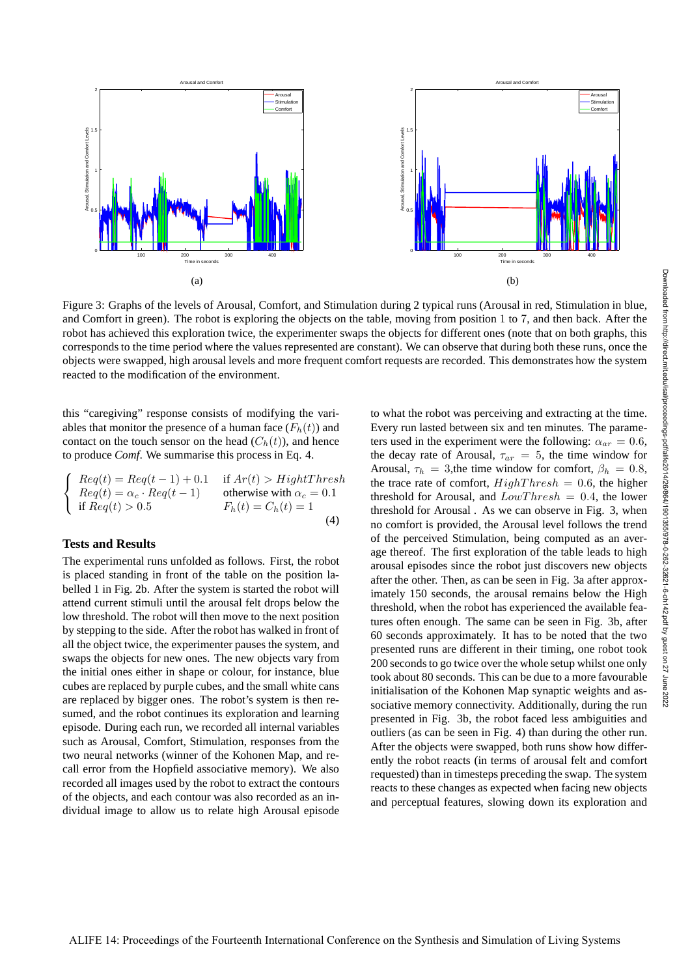

Figure 3: Graphs of the levels of Arousal, Comfort, and Stimulation during 2 typical runs (Arousal in red, Stimulation in blue, and Comfort in green). The robot is exploring the objects on the table, moving from position 1 to 7, and then back. After the robot has achieved this exploration twice, the experimenter swaps the objects for different ones (note that on both graphs, this corresponds to the time period where the values represented are constant). We can observe that during both these runs, once the objects were swapped, high arousal levels and more frequent comfort requests are recorded. This demonstrates how the system reacted to the modification of the environment.

this "caregiving" response consists of modifying the variables that monitor the presence of a human face  $(F_h(t))$  and contact on the touch sensor on the head  $(C_h(t))$ , and hence to produce *Comf*. We summarise this process in Eq. 4.

$$
\begin{cases}\n\text{Re}q(t) = \text{Re}q(t-1) + 0.1 & \text{if } Ar(t) > \text{HightThresh} \\
\text{Re}q(t) = \alpha_c \cdot \text{Re}q(t-1) & \text{otherwise with } \alpha_c = 0.1 \\
\text{if } \text{Re}q(t) > 0.5 & F_h(t) = C_h(t) = 1\n\end{cases}
$$
\n(4)

### **Tests and Results**

The experimental runs unfolded as follows. First, the robot is placed standing in front of the table on the position labelled 1 in Fig. 2b. After the system is started the robot will attend current stimuli until the arousal felt drops below the low threshold. The robot will then move to the next position by stepping to the side. After the robot has walked in front of all the object twice, the experimenter pauses the system, and swaps the objects for new ones. The new objects vary from the initial ones either in shape or colour, for instance, blue cubes are replaced by purple cubes, and the small white cans are replaced by bigger ones. The robot's system is then resumed, and the robot continues its exploration and learning episode. During each run, we recorded all internal variables such as Arousal, Comfort, Stimulation, responses from the two neural networks (winner of the Kohonen Map, and recall error from the Hopfield associative memory). We also recorded all images used by the robot to extract the contours of the objects, and each contour was also recorded as an individual image to allow us to relate high Arousal episode to what the robot was perceiving and extracting at the time. Every run lasted between six and ten minutes. The parameters used in the experiment were the following:  $\alpha_{ar} = 0.6$ , the decay rate of Arousal,  $\tau_{ar} = 5$ , the time window for Arousal,  $\tau_h = 3$ , the time window for comfort,  $\beta_h = 0.8$ , the trace rate of comfort,  $HighThreshold = 0.6$ , the higher threshold for Arousal, and  $LowThresh = 0.4$ , the lower threshold for Arousal . As we can observe in Fig. 3, when no comfort is provided, the Arousal level follows the trend of the perceived Stimulation, being computed as an average thereof. The first exploration of the table leads to high arousal episodes since the robot just discovers new objects after the other. Then, as can be seen in Fig. 3a after approximately 150 seconds, the arousal remains below the High threshold, when the robot has experienced the available features often enough. The same can be seen in Fig. 3b, after 60 seconds approximately. It has to be noted that the two presented runs are different in their timing, one robot took 200 seconds to go twice over the whole setup whilst one only took about 80 seconds. This can be due to a more favourable initialisation of the Kohonen Map synaptic weights and associative memory connectivity. Additionally, during the run presented in Fig. 3b, the robot faced less ambiguities and outliers (as can be seen in Fig. 4) than during the other run. After the objects were swapped, both runs show how differently the robot reacts (in terms of arousal felt and comfort requested) than in timesteps preceding the swap. The system reacts to these changes as expected when facing new objects and perceptual features, slowing down its exploration and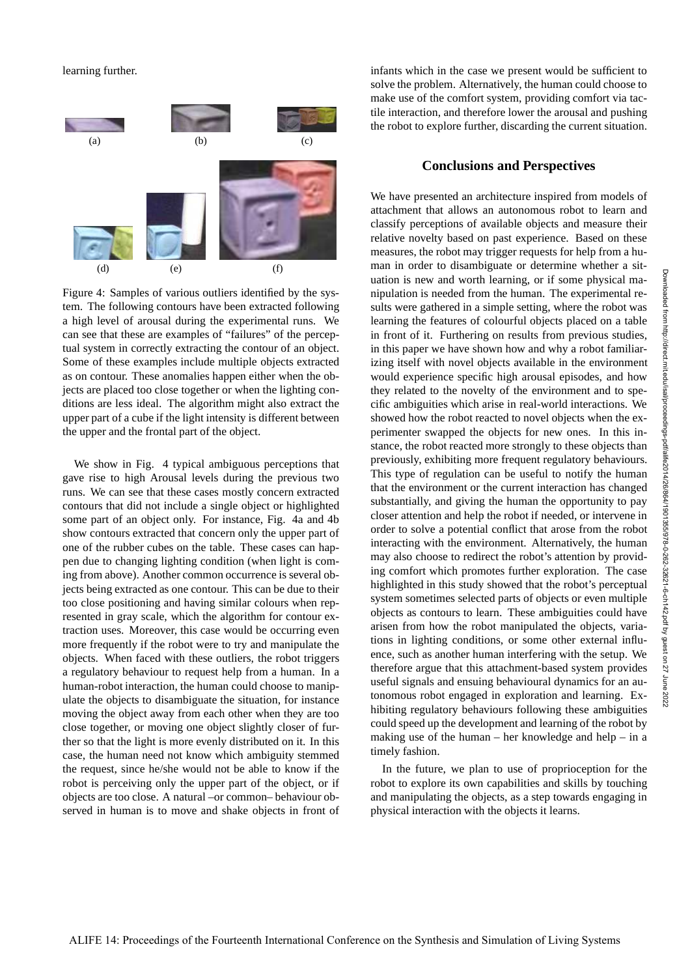learning further.



Figure 4: Samples of various outliers identified by the system. The following contours have been extracted following a high level of arousal during the experimental runs. We can see that these are examples of "failures" of the perceptual system in correctly extracting the contour of an object. Some of these examples include multiple objects extracted as on contour. These anomalies happen either when the objects are placed too close together or when the lighting conditions are less ideal. The algorithm might also extract the upper part of a cube if the light intensity is different between the upper and the frontal part of the object.

We show in Fig. 4 typical ambiguous perceptions that gave rise to high Arousal levels during the previous two runs. We can see that these cases mostly concern extracted contours that did not include a single object or highlighted some part of an object only. For instance, Fig. 4a and 4b show contours extracted that concern only the upper part of one of the rubber cubes on the table. These cases can happen due to changing lighting condition (when light is coming from above). Another common occurrence is several objects being extracted as one contour. This can be due to their too close positioning and having similar colours when represented in gray scale, which the algorithm for contour extraction uses. Moreover, this case would be occurring even more frequently if the robot were to try and manipulate the objects. When faced with these outliers, the robot triggers a regulatory behaviour to request help from a human. In a human-robot interaction, the human could choose to manipulate the objects to disambiguate the situation, for instance moving the object away from each other when they are too close together, or moving one object slightly closer of further so that the light is more evenly distributed on it. In this case, the human need not know which ambiguity stemmed the request, since he/she would not be able to know if the robot is perceiving only the upper part of the object, or if objects are too close. A natural –or common– behaviour observed in human is to move and shake objects in front of infants which in the case we present would be sufficient to solve the problem. Alternatively, the human could choose to make use of the comfort system, providing comfort via tactile interaction, and therefore lower the arousal and pushing the robot to explore further, discarding the current situation.

### **Conclusions and Perspectives**

We have presented an architecture inspired from models of attachment that allows an autonomous robot to learn and classify perceptions of available objects and measure their relative novelty based on past experience. Based on these measures, the robot may trigger requests for help from a human in order to disambiguate or determine whether a situation is new and worth learning, or if some physical manipulation is needed from the human. The experimental results were gathered in a simple setting, where the robot was learning the features of colourful objects placed on a table in front of it. Furthering on results from previous studies, in this paper we have shown how and why a robot familiarizing itself with novel objects available in the environment would experience specific high arousal episodes, and how they related to the novelty of the environment and to specific ambiguities which arise in real-world interactions. We showed how the robot reacted to novel objects when the experimenter swapped the objects for new ones. In this instance, the robot reacted more strongly to these objects than previously, exhibiting more frequent regulatory behaviours. This type of regulation can be useful to notify the human that the environment or the current interaction has changed substantially, and giving the human the opportunity to pay closer attention and help the robot if needed, or intervene in order to solve a potential conflict that arose from the robot interacting with the environment. Alternatively, the human may also choose to redirect the robot's attention by providing comfort which promotes further exploration. The case highlighted in this study showed that the robot's perceptual system sometimes selected parts of objects or even multiple objects as contours to learn. These ambiguities could have arisen from how the robot manipulated the objects, variations in lighting conditions, or some other external influence, such as another human interfering with the setup. We therefore argue that this attachment-based system provides useful signals and ensuing behavioural dynamics for an autonomous robot engaged in exploration and learning. Exhibiting regulatory behaviours following these ambiguities could speed up the development and learning of the robot by making use of the human – her knowledge and help – in a timely fashion.

In the future, we plan to use of proprioception for the robot to explore its own capabilities and skills by touching and manipulating the objects, as a step towards engaging in physical interaction with the objects it learns.